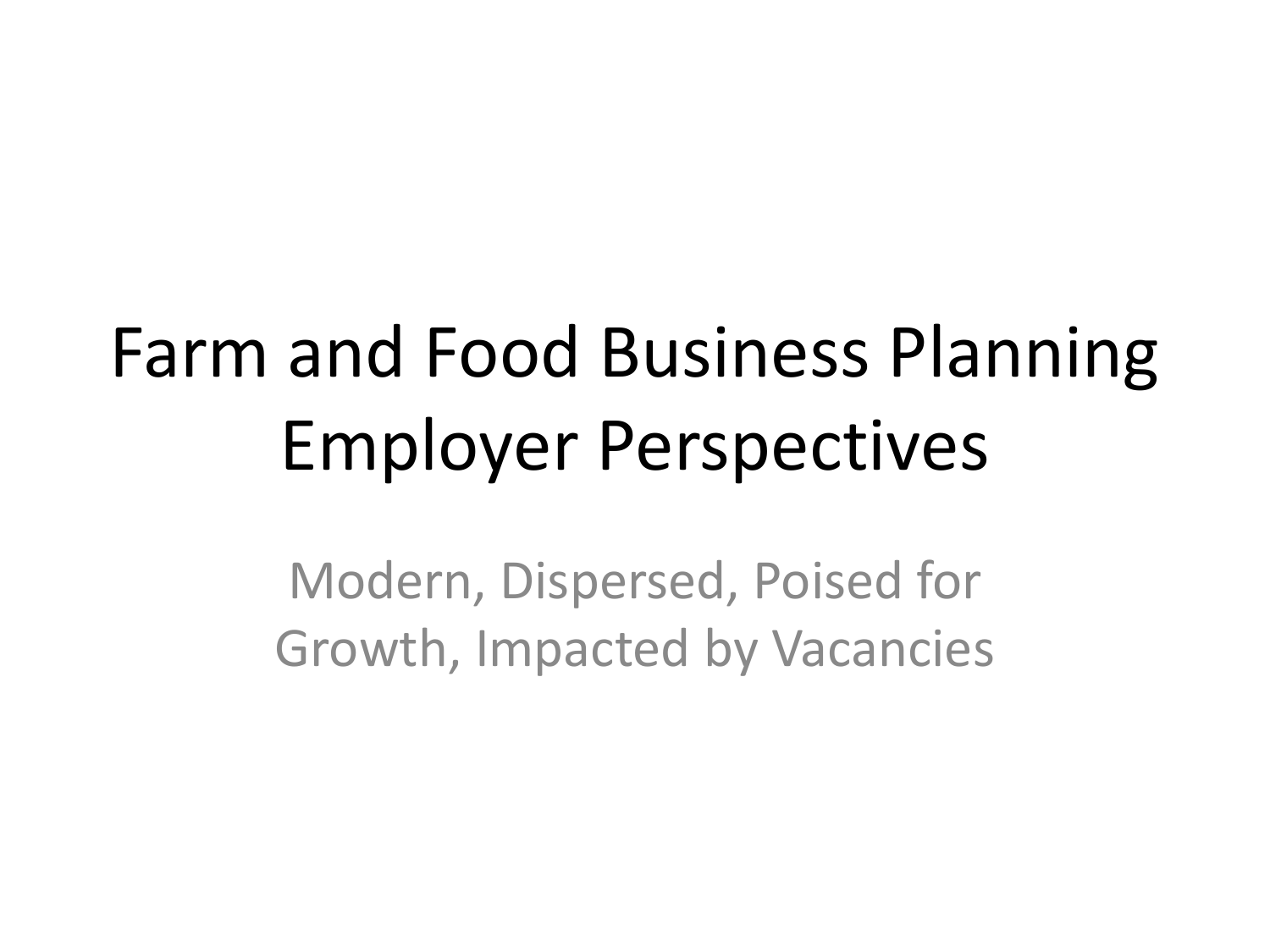# Farm and Food Business Planning Employer Perspectives

Modern, Dispersed, Poised for Growth, Impacted by Vacancies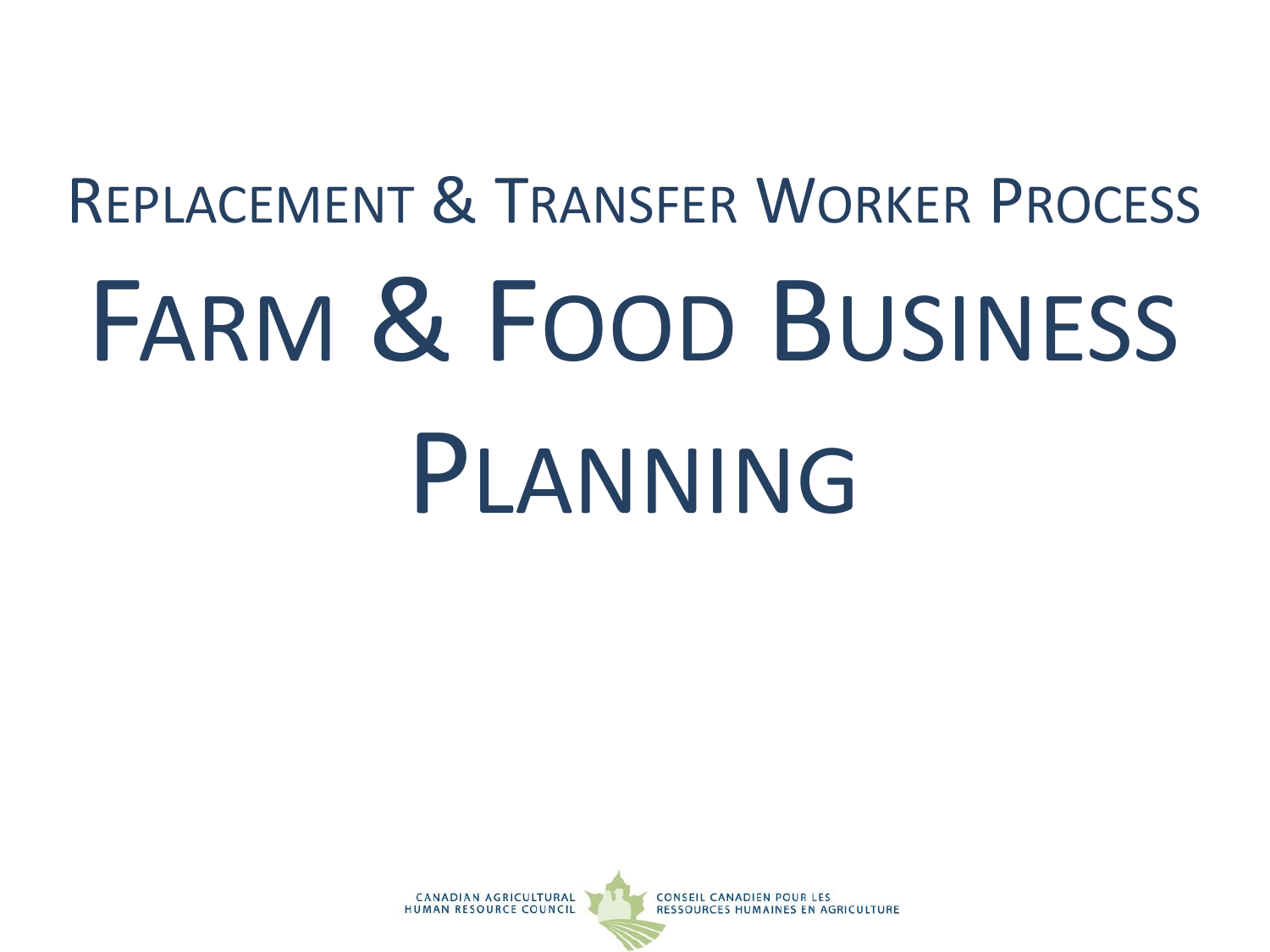# REPLACEMENT & TRANSFER WORKER PROCESS FARM & FOOD BUSINESS PLANNING

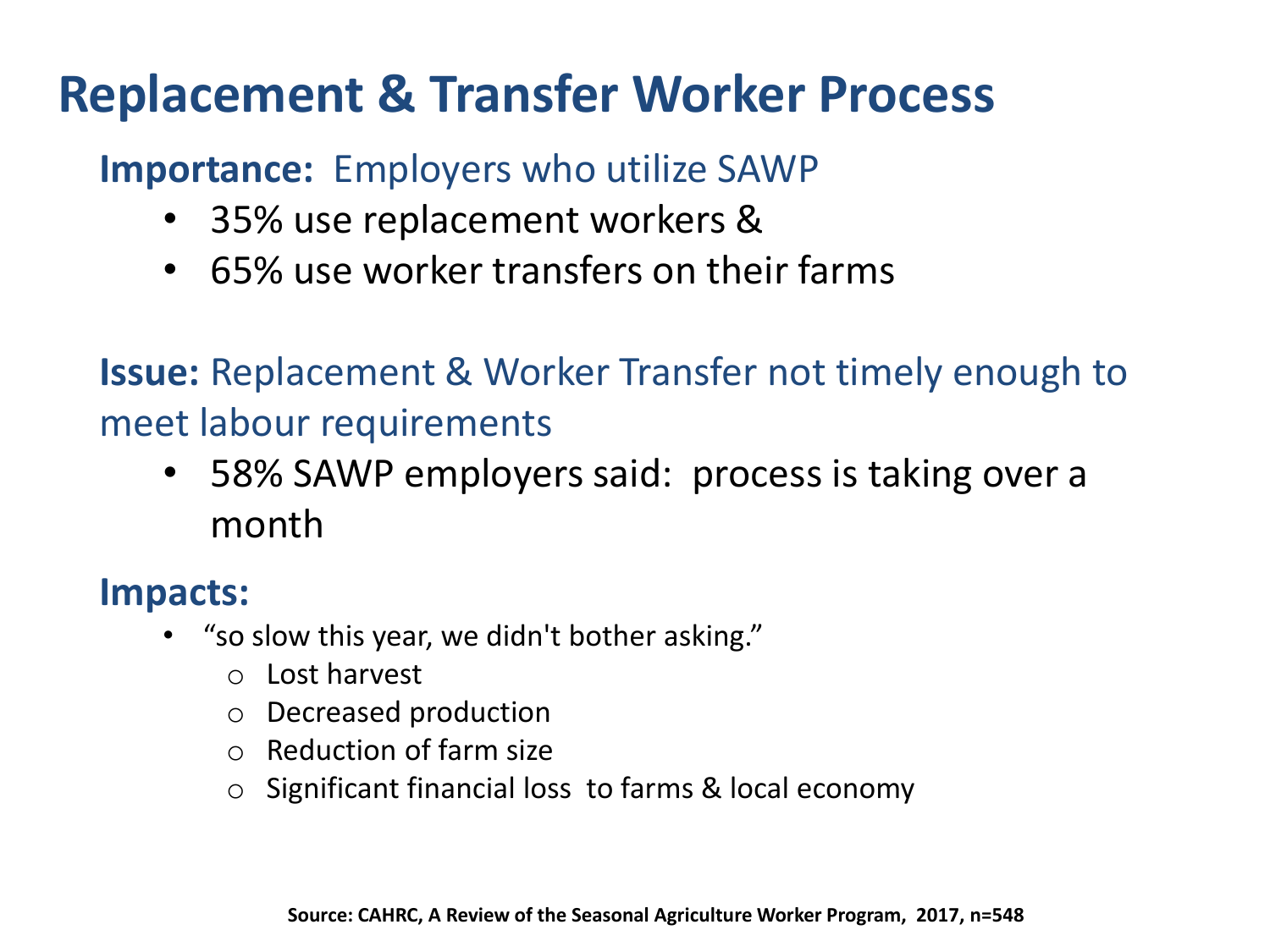## **Replacement & Transfer Worker Process**

## **Importance:** Employers who utilize SAWP

- 35% use replacement workers &
- 65% use worker transfers on their farms

**Issue:** Replacement & Worker Transfer not timely enough to meet labour requirements

• 58% SAWP employers said: process is taking over a month

## **Impacts:**

- "so slow this year, we didn't bother asking."
	- o Lost harvest
	- o Decreased production
	- o Reduction of farm size
	- o Significant financial loss to farms & local economy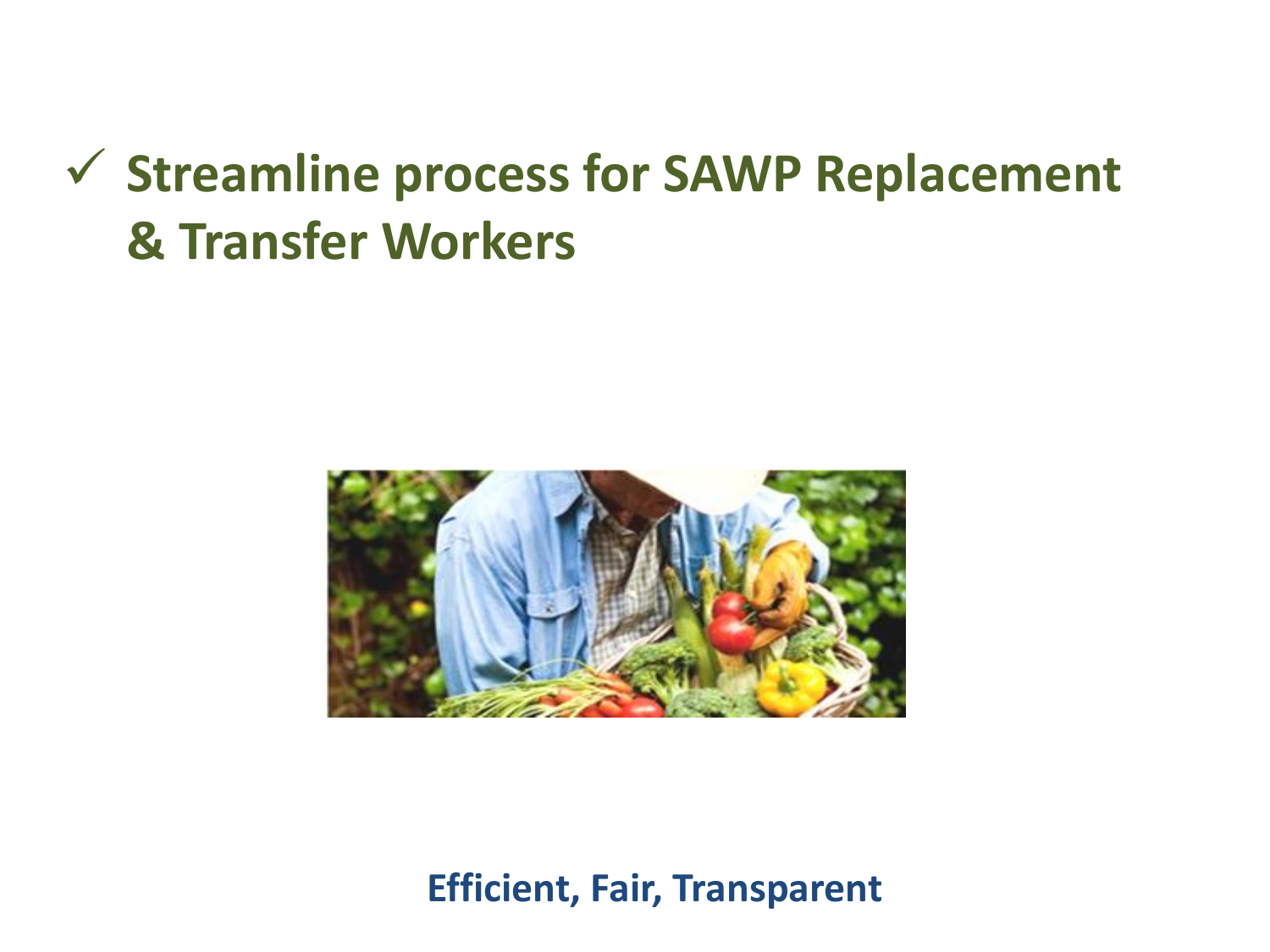## ✓ **Streamline process for SAWP Replacement & Transfer Workers**



**Efficient, Fair, Transparent**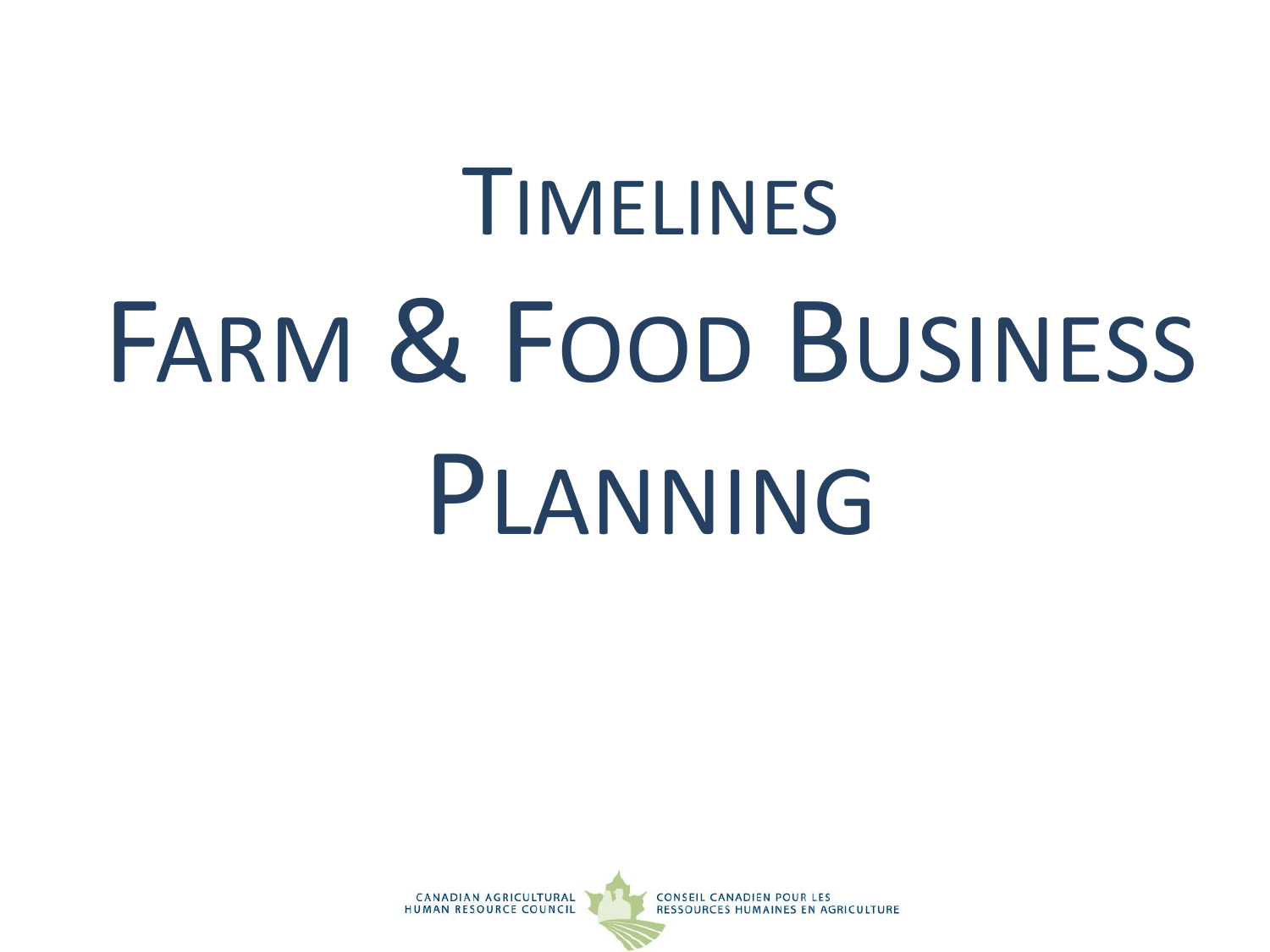# TIMELINES FARM & FOOD BUSINESS PLANNING

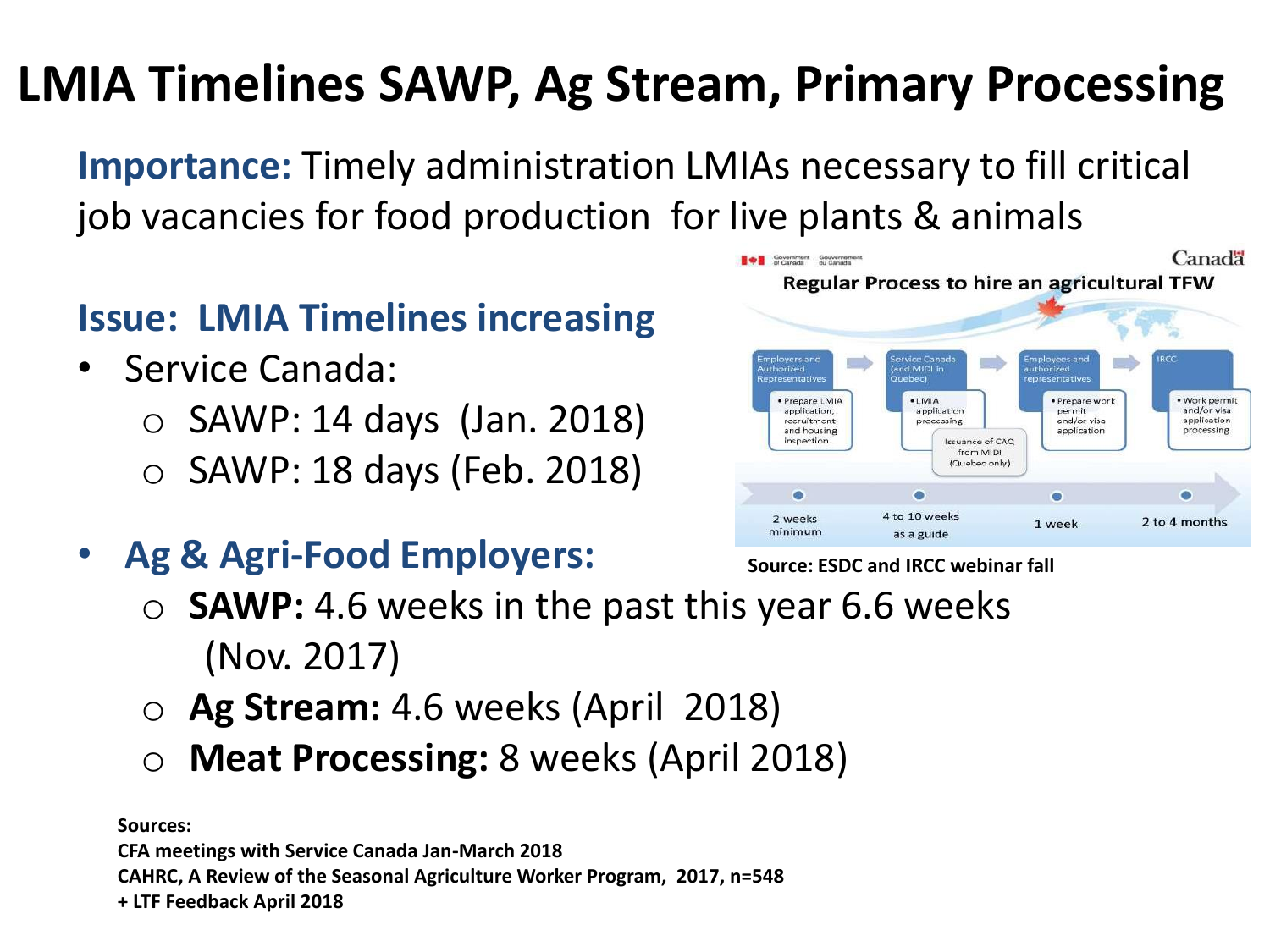## **LMIA Timelines SAWP, Ag Stream, Primary Processing**

**Importance:** Timely administration LMIAs necessary to fill critical job vacancies for food production for live plants & animals

## **Issue: LMIA Timelines increasing**

- Service Canada:
	- $\circ$  SAWP: 14 days (Jan. 2018)
	- $\circ$  SAWP: 18 days (Feb. 2018)
- **Ag & Agri-Food Employers:**



#### **Source: ESDC and IRCC webinar fall**

- o **SAWP:** 4.6 weeks in the past this year 6.6 weeks (Nov. 2017)
- o **Ag Stream:** 4.6 weeks (April 2018)
- **Meat Processing:** 8 weeks (April 2018)

**Sources:** 

**CFA meetings with Service Canada Jan-March 2018 CAHRC, A Review of the Seasonal Agriculture Worker Program, 2017, n=548 + LTF Feedback April 2018**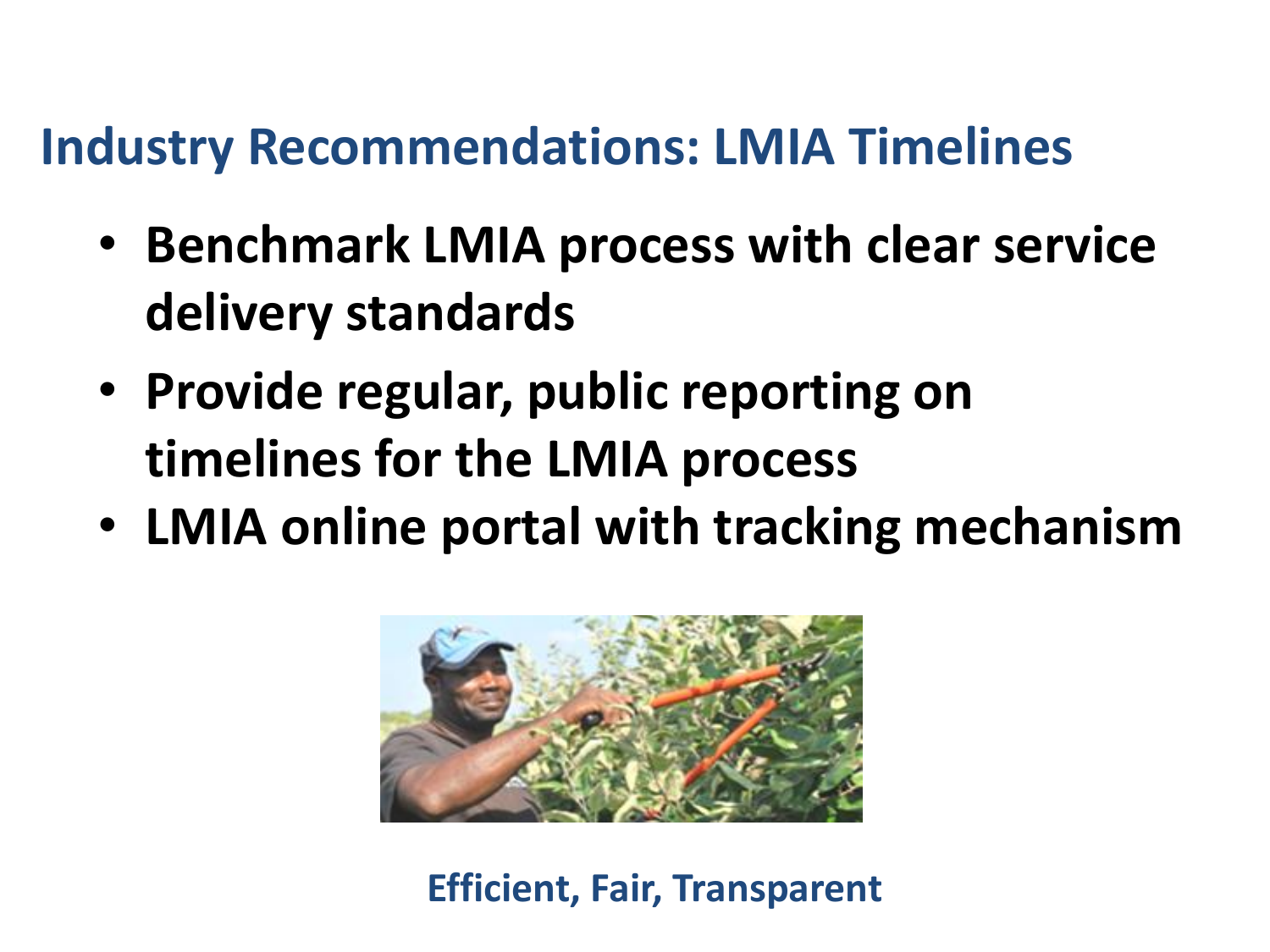## **Industry Recommendations: LMIA Timelines**

- **Benchmark LMIA process with clear service delivery standards**
- **Provide regular, public reporting on timelines for the LMIA process**
- **LMIA online portal with tracking mechanism**



**Efficient, Fair, Transparent**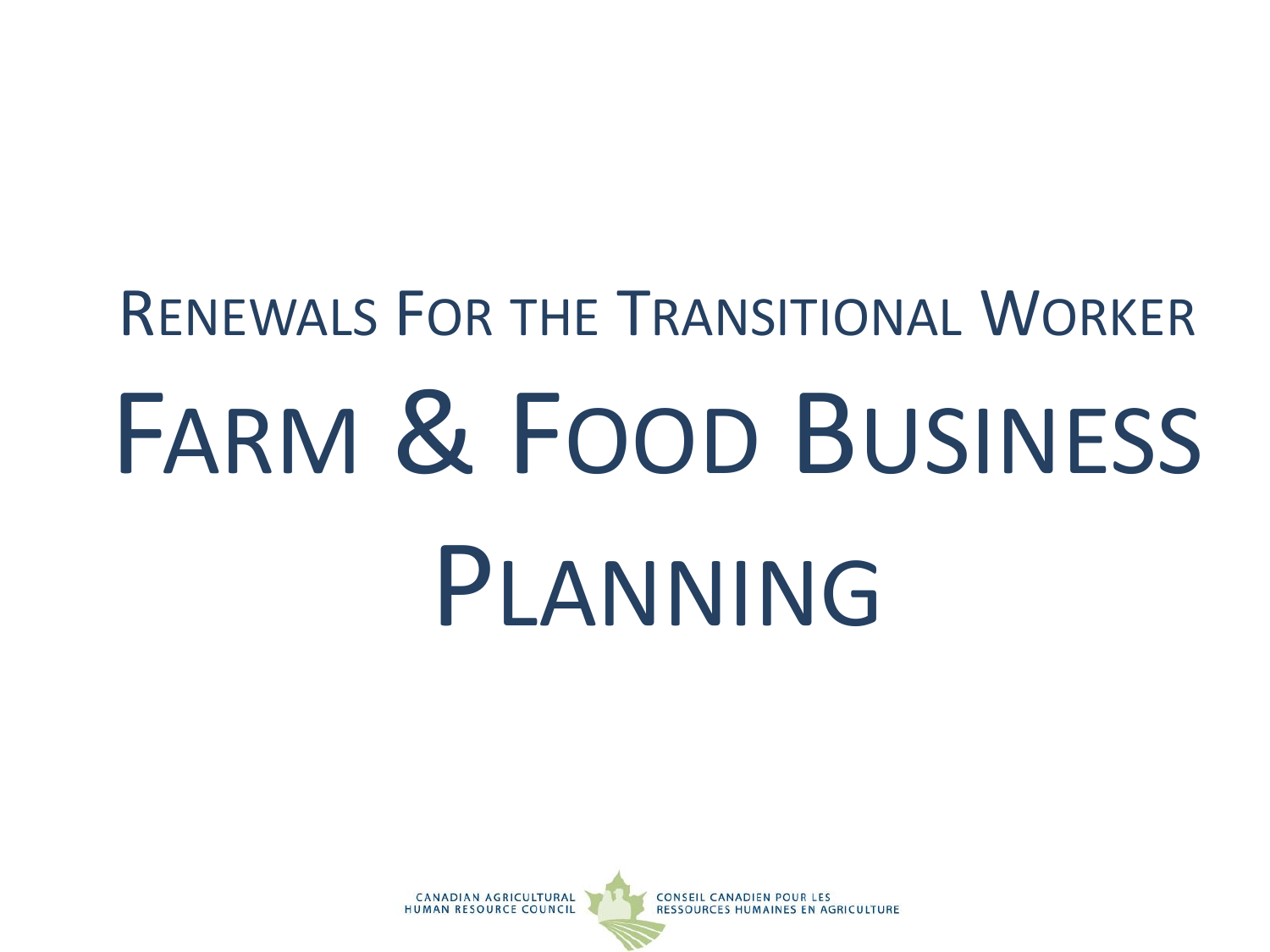# RENEWALS FOR THE TRANSITIONAL WORKER FARM & FOOD BUSINESS PLANNING

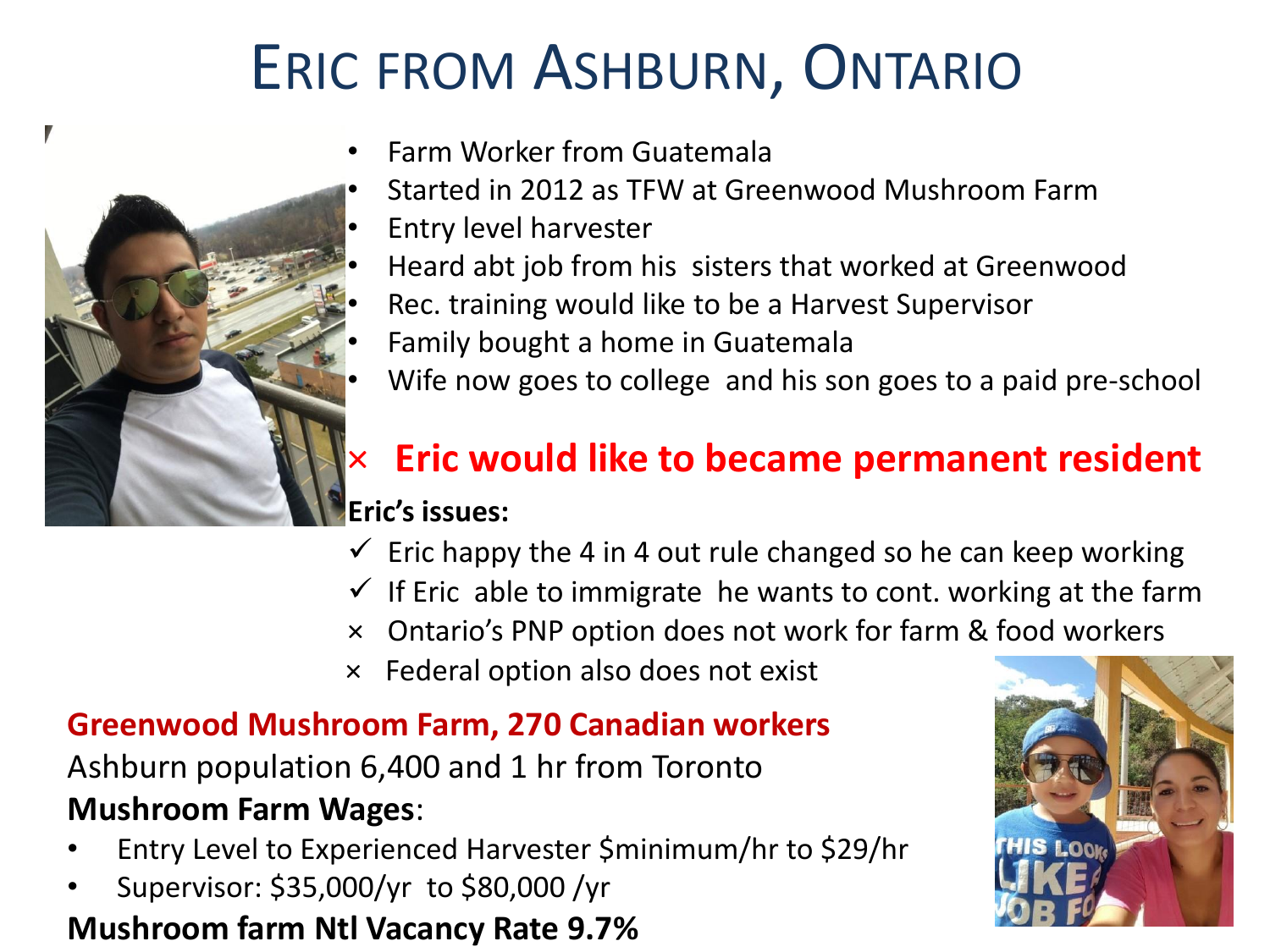# ERIC FROM ASHBURN, ONTARIO



- Farm Worker from Guatemala
- Started in 2012 as TFW at Greenwood Mushroom Farm
- Entry level harvester
- Heard abt job from his sisters that worked at Greenwood
- Rec. training would like to be a Harvest Supervisor
- Family bought a home in Guatemala
- Wife now goes to college and his son goes to a paid pre-school

# × **Eric would like to became permanent resident**

### **Eric's issues:**

- $\checkmark$  Eric happy the 4 in 4 out rule changed so he can keep working
- $\checkmark$  If Eric able to immigrate he wants to cont. working at the farm
- × Ontario's PNP option does not work for farm & food workers
- × Federal option also does not exist

### **Greenwood Mushroom Farm, 270 Canadian workers**

Ashburn population 6,400 and 1 hr from Toronto **Mushroom Farm Wages**:

- Entry Level to Experienced Harvester \$minimum/hr to \$29/hr
- Supervisor: \$35,000/yr to \$80,000 /yr

### **Mushroom farm Ntl Vacancy Rate 9.7%**